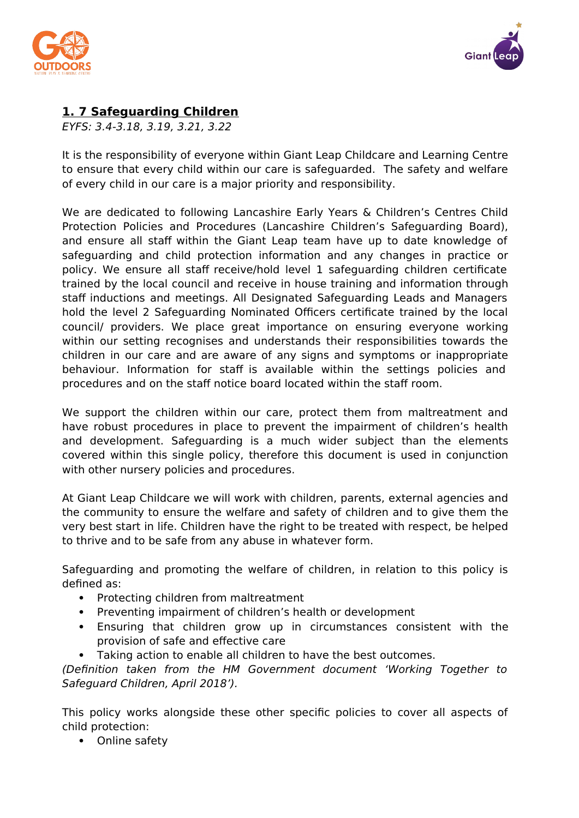



# **1. 7 Safeguarding Children**

EYFS: 3.4-3.18, 3.19, 3.21, 3.22

It is the responsibility of everyone within Giant Leap Childcare and Learning Centre to ensure that every child within our care is safeguarded. The safety and welfare of every child in our care is a major priority and responsibility.

We are dedicated to following Lancashire Early Years & Children's Centres Child Protection Policies and Procedures (Lancashire Children's Safeguarding Board), and ensure all staff within the Giant Leap team have up to date knowledge of safeguarding and child protection information and any changes in practice or policy. We ensure all staff receive/hold level 1 safeguarding children certificate trained by the local council and receive in house training and information through staff inductions and meetings. All Designated Safeguarding Leads and Managers hold the level 2 Safeguarding Nominated Officers certificate trained by the local council/ providers. We place great importance on ensuring everyone working within our setting recognises and understands their responsibilities towards the children in our care and are aware of any signs and symptoms or inappropriate behaviour. Information for staff is available within the settings policies and procedures and on the staff notice board located within the staff room.

We support the children within our care, protect them from maltreatment and have robust procedures in place to prevent the impairment of children's health and development. Safeguarding is a much wider subject than the elements covered within this single policy, therefore this document is used in conjunction with other nursery policies and procedures.

At Giant Leap Childcare we will work with children, parents, external agencies and the community to ensure the welfare and safety of children and to give them the very best start in life. Children have the right to be treated with respect, be helped to thrive and to be safe from any abuse in whatever form.

Safeguarding and promoting the welfare of children, in relation to this policy is defined as:

- Protecting children from maltreatment
- Preventing impairment of children's health or development
- Ensuring that children grow up in circumstances consistent with the provision of safe and effective care
- Taking action to enable all children to have the best outcomes.

(Definition taken from the HM Government document 'Working Together to Safeguard Children, April 2018').

This policy works alongside these other specific policies to cover all aspects of child protection:

• Online safety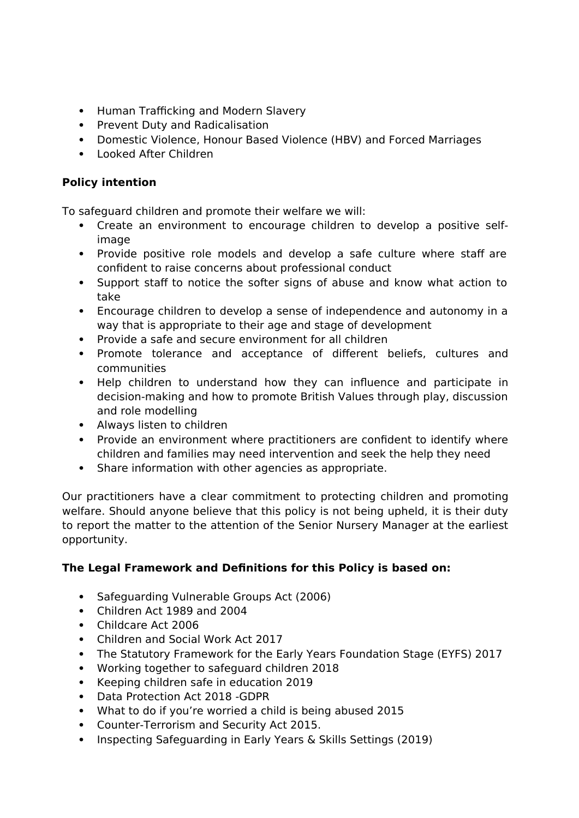- Human Trafficking and Modern Slavery
- Prevent Duty and Radicalisation
- Domestic Violence, Honour Based Violence (HBV) and Forced Marriages
- Looked After Children

# **Policy intention**

To safeguard children and promote their welfare we will:

- Create an environment to encourage children to develop a positive selfimage
- Provide positive role models and develop a safe culture where staff are confident to raise concerns about professional conduct
- Support staff to notice the softer signs of abuse and know what action to take
- Encourage children to develop a sense of independence and autonomy in a way that is appropriate to their age and stage of development
- Provide a safe and secure environment for all children
- Promote tolerance and acceptance of different beliefs, cultures and communities
- Help children to understand how they can influence and participate in decision-making and how to promote British Values through play, discussion and role modelling
- Always listen to children
- Provide an environment where practitioners are confident to identify where children and families may need intervention and seek the help they need
- Share information with other agencies as appropriate.

Our practitioners have a clear commitment to protecting children and promoting welfare. Should anyone believe that this policy is not being upheld, it is their duty to report the matter to the attention of the Senior Nursery Manager at the earliest opportunity.

# **The Legal Framework and Definitions for this Policy is based on:**

- Safeguarding Vulnerable Groups Act (2006)
- Children Act 1989 and 2004
- Childcare Act 2006
- Children and Social Work Act 2017
- The Statutory Framework for the Early Years Foundation Stage (EYFS) 2017
- Working together to safeguard children 2018
- Keeping children safe in education 2019
- Data Protection Act 2018 -GDPR
- What to do if you're worried a child is being abused 2015
- Counter-Terrorism and Security Act 2015.
- Inspecting Safeguarding in Early Years & Skills Settings (2019)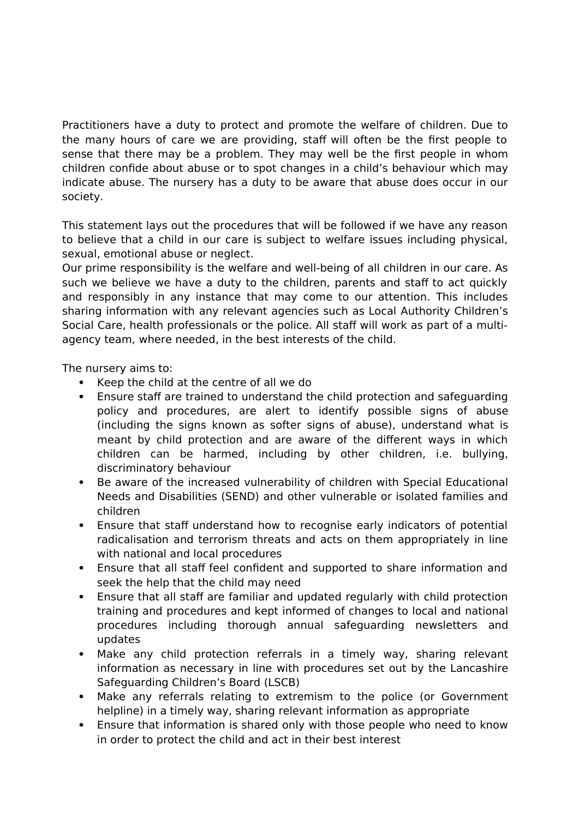Practitioners have a duty to protect and promote the welfare of children. Due to the many hours of care we are providing, staff will often be the first people to sense that there may be a problem. They may well be the first people in whom children confide about abuse or to spot changes in a child's behaviour which may indicate abuse. The nursery has a duty to be aware that abuse does occur in our society.

This statement lays out the procedures that will be followed if we have any reason to believe that a child in our care is subject to welfare issues including physical, sexual, emotional abuse or neglect.

Our prime responsibility is the welfare and well-being of all children in our care. As such we believe we have a duty to the children, parents and staff to act quickly and responsibly in any instance that may come to our attention. This includes sharing information with any relevant agencies such as Local Authority Children's Social Care, health professionals or the police. All staff will work as part of a multiagency team, where needed, in the best interests of the child.

The nursery aims to:

- Keep the child at the centre of all we do
- Ensure staff are trained to understand the child protection and safeguarding policy and procedures, are alert to identify possible signs of abuse (including the signs known as softer signs of abuse), understand what is meant by child protection and are aware of the different ways in which children can be harmed, including by other children, i.e. bullying, discriminatory behaviour
- Be aware of the increased vulnerability of children with Special Educational Needs and Disabilities (SEND) and other vulnerable or isolated families and children
- Ensure that staff understand how to recognise early indicators of potential radicalisation and terrorism threats and acts on them appropriately in line with national and local procedures
- Ensure that all staff feel confident and supported to share information and seek the help that the child may need
- Ensure that all staff are familiar and updated regularly with child protection training and procedures and kept informed of changes to local and national procedures including thorough annual safeguarding newsletters and updates
- Make any child protection referrals in a timely way, sharing relevant information as necessary in line with procedures set out by the Lancashire Safeguarding Children's Board (LSCB)
- Make any referrals relating to extremism to the police (or Government helpline) in a timely way, sharing relevant information as appropriate
- Ensure that information is shared only with those people who need to know in order to protect the child and act in their best interest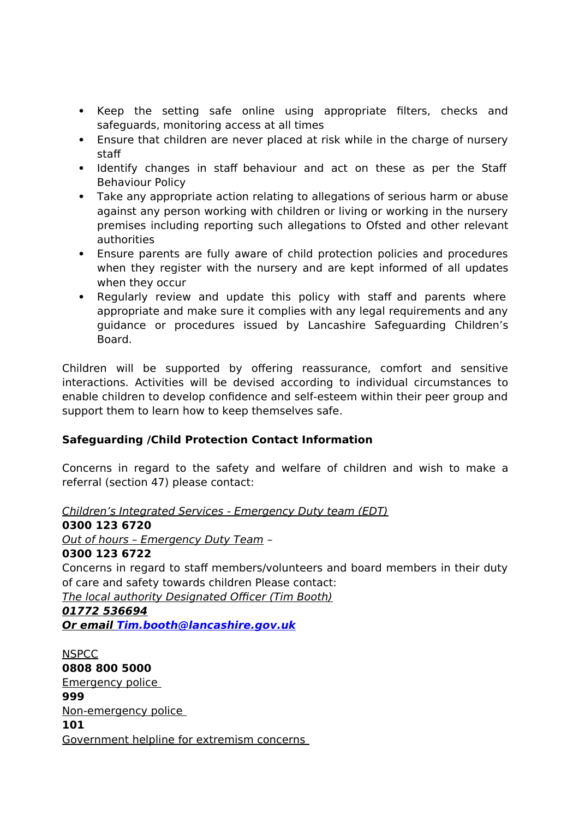- Keep the setting safe online using appropriate filters, checks and safeguards, monitoring access at all times
- Ensure that children are never placed at risk while in the charge of nursery staff
- Identify changes in staff behaviour and act on these as per the Staff Behaviour Policy
- Take any appropriate action relating to allegations of serious harm or abuse against any person working with children or living or working in the nursery premises including reporting such allegations to Ofsted and other relevant authorities
- Ensure parents are fully aware of child protection policies and procedures when they register with the nursery and are kept informed of all updates when they occur
- Regularly review and update this policy with staff and parents where appropriate and make sure it complies with any legal requirements and any guidance or procedures issued by Lancashire Safeguarding Children's Board.

Children will be supported by offering reassurance, comfort and sensitive interactions. Activities will be devised according to individual circumstances to enable children to develop confidence and self-esteem within their peer group and support them to learn how to keep themselves safe.

# **Safeguarding /Child Protection Contact Information**

Concerns in regard to the safety and welfare of children and wish to make a referral (section 47) please contact:

Children's Integrated Services - Emergency Duty team (EDT)

## **0300 123 6720**

Out of hours – Emergency Duty Team –

### **0300 123 6722**

Concerns in regard to staff members/volunteers and board members in their duty of care and safety towards children Please contact:

The local authority Designated Officer (Tim Booth)

### **01772 536694**

 **Or email [Tim.booth@lancashire.gov.uk](mailto:Tim.booth@lancashire.gov.uk)**

**NSPCC 0808 800 5000** Emergency police **999** Non-emergency police **101**  Government helpline for extremism concerns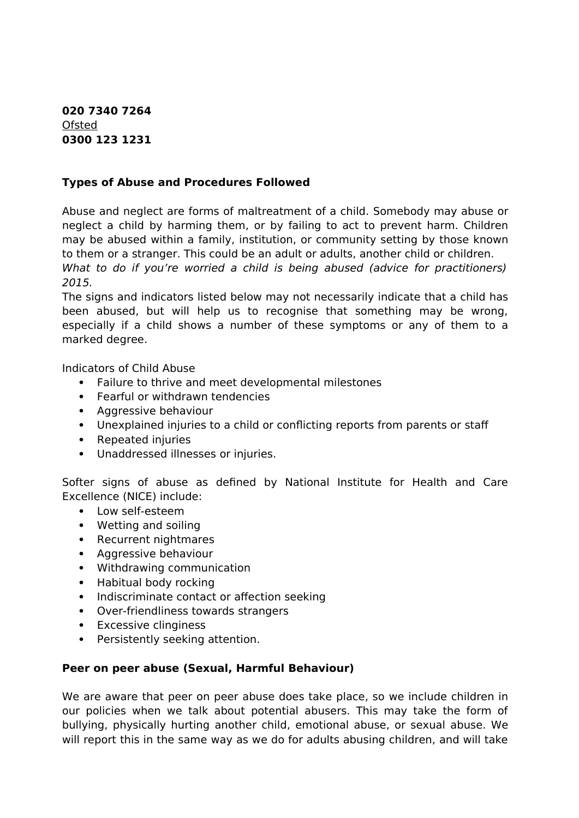**020 7340 7264** Ofsted **0300 123 1231**

### **Types of Abuse and Procedures Followed**

Abuse and neglect are forms of maltreatment of a child. Somebody may abuse or neglect a child by harming them, or by failing to act to prevent harm. Children may be abused within a family, institution, or community setting by those known to them or a stranger. This could be an adult or adults, another child or children. What to do if you're worried a child is being abused (advice for practitioners) 2015.

The signs and indicators listed below may not necessarily indicate that a child has been abused, but will help us to recognise that something may be wrong, especially if a child shows a number of these symptoms or any of them to a marked degree.

Indicators of Child Abuse

- Failure to thrive and meet developmental milestones
- Fearful or withdrawn tendencies
- Aggressive behaviour
- Unexplained injuries to a child or conflicting reports from parents or staff
- Repeated injuries
- Unaddressed illnesses or injuries.

Softer signs of abuse as defined by National Institute for Health and Care Excellence (NICE) include:

- Low self-esteem
- Wetting and soiling
- Recurrent nightmares
- Aggressive behaviour
- Withdrawing communication
- Habitual body rocking
- Indiscriminate contact or affection seeking
- Over-friendliness towards strangers
- Excessive clinginess
- Persistently seeking attention.

### **Peer on peer abuse (Sexual, Harmful Behaviour)**

We are aware that peer on peer abuse does take place, so we include children in our policies when we talk about potential abusers. This may take the form of bullying, physically hurting another child, emotional abuse, or sexual abuse. We will report this in the same way as we do for adults abusing children, and will take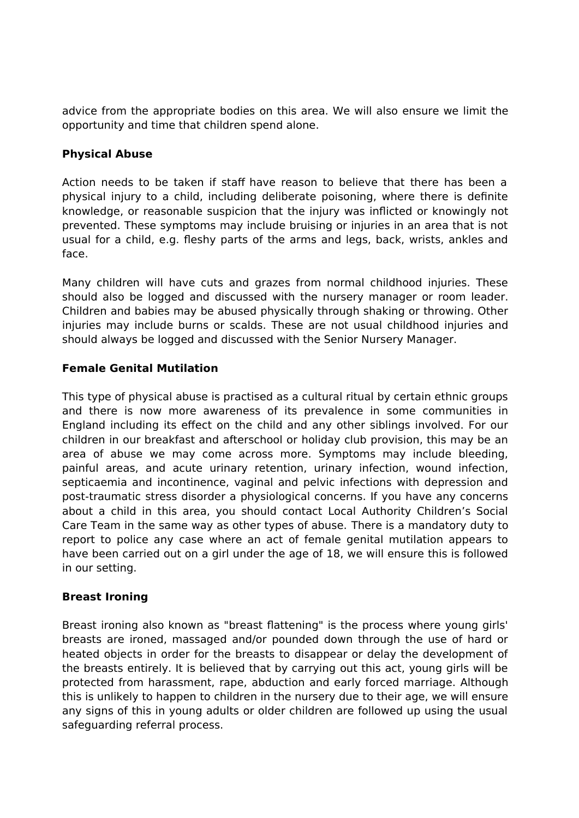advice from the appropriate bodies on this area. We will also ensure we limit the opportunity and time that children spend alone.

## **Physical Abuse**

Action needs to be taken if staff have reason to believe that there has been a physical injury to a child, including deliberate poisoning, where there is definite knowledge, or reasonable suspicion that the injury was inflicted or knowingly not prevented. These symptoms may include bruising or injuries in an area that is not usual for a child, e.g. fleshy parts of the arms and legs, back, wrists, ankles and face.

Many children will have cuts and grazes from normal childhood injuries. These should also be logged and discussed with the nursery manager or room leader. Children and babies may be abused physically through shaking or throwing. Other injuries may include burns or scalds. These are not usual childhood injuries and should always be logged and discussed with the Senior Nursery Manager.

## **Female Genital Mutilation**

This type of physical abuse is practised as a cultural ritual by certain ethnic groups and there is now more awareness of its prevalence in some communities in England including its effect on the child and any other siblings involved. For our children in our breakfast and afterschool or holiday club provision, this may be an area of abuse we may come across more. Symptoms may include bleeding, painful areas, and acute urinary retention, urinary infection, wound infection, septicaemia and incontinence, vaginal and pelvic infections with depression and post-traumatic stress disorder a physiological concerns. If you have any concerns about a child in this area, you should contact Local Authority Children's Social Care Team in the same way as other types of abuse. There is a mandatory duty to report to police any case where an act of female genital mutilation appears to have been carried out on a girl under the age of 18, we will ensure this is followed in our setting.

### **Breast Ironing**

Breast ironing also known as "breast flattening" is the process where young girls' breasts are ironed, massaged and/or pounded down through the use of hard or heated objects in order for the breasts to disappear or delay the development of the breasts entirely. It is believed that by carrying out this act, young girls will be protected from harassment, rape, abduction and early forced marriage. Although this is unlikely to happen to children in the nursery due to their age, we will ensure any signs of this in young adults or older children are followed up using the usual safeguarding referral process.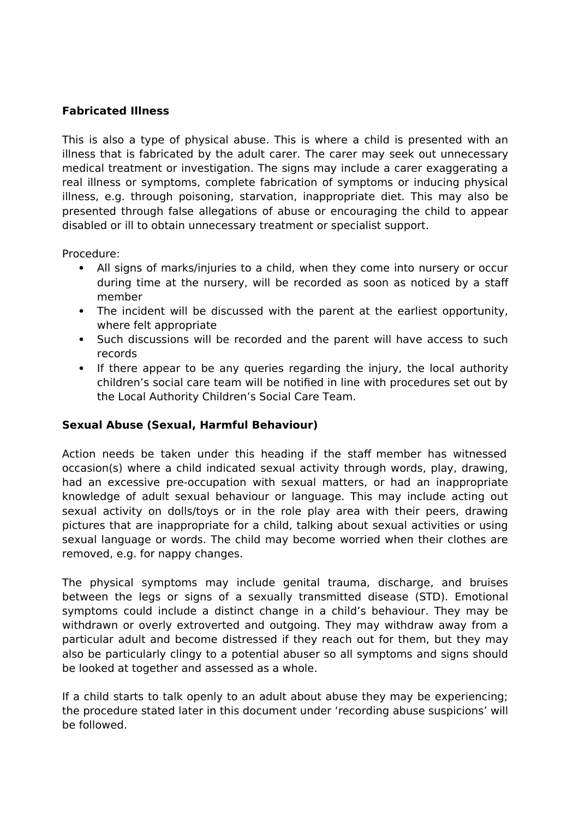## **Fabricated Illness**

This is also a type of physical abuse. This is where a child is presented with an illness that is fabricated by the adult carer. The carer may seek out unnecessary medical treatment or investigation. The signs may include a carer exaggerating a real illness or symptoms, complete fabrication of symptoms or inducing physical illness, e.g. through poisoning, starvation, inappropriate diet. This may also be presented through false allegations of abuse or encouraging the child to appear disabled or ill to obtain unnecessary treatment or specialist support.

Procedure:

- All signs of marks/injuries to a child, when they come into nursery or occur during time at the nursery, will be recorded as soon as noticed by a staff member
- The incident will be discussed with the parent at the earliest opportunity, where felt appropriate
- Such discussions will be recorded and the parent will have access to such records
- If there appear to be any queries regarding the injury, the local authority children's social care team will be notified in line with procedures set out by the Local Authority Children's Social Care Team.

### **Sexual Abuse (Sexual, Harmful Behaviour)**

Action needs be taken under this heading if the staff member has witnessed occasion(s) where a child indicated sexual activity through words, play, drawing, had an excessive pre-occupation with sexual matters, or had an inappropriate knowledge of adult sexual behaviour or language. This may include acting out sexual activity on dolls/toys or in the role play area with their peers, drawing pictures that are inappropriate for a child, talking about sexual activities or using sexual language or words. The child may become worried when their clothes are removed, e.g. for nappy changes.

The physical symptoms may include genital trauma, discharge, and bruises between the legs or signs of a sexually transmitted disease (STD). Emotional symptoms could include a distinct change in a child's behaviour. They may be withdrawn or overly extroverted and outgoing. They may withdraw away from a particular adult and become distressed if they reach out for them, but they may also be particularly clingy to a potential abuser so all symptoms and signs should be looked at together and assessed as a whole.

If a child starts to talk openly to an adult about abuse they may be experiencing; the procedure stated later in this document under 'recording abuse suspicions' will be followed.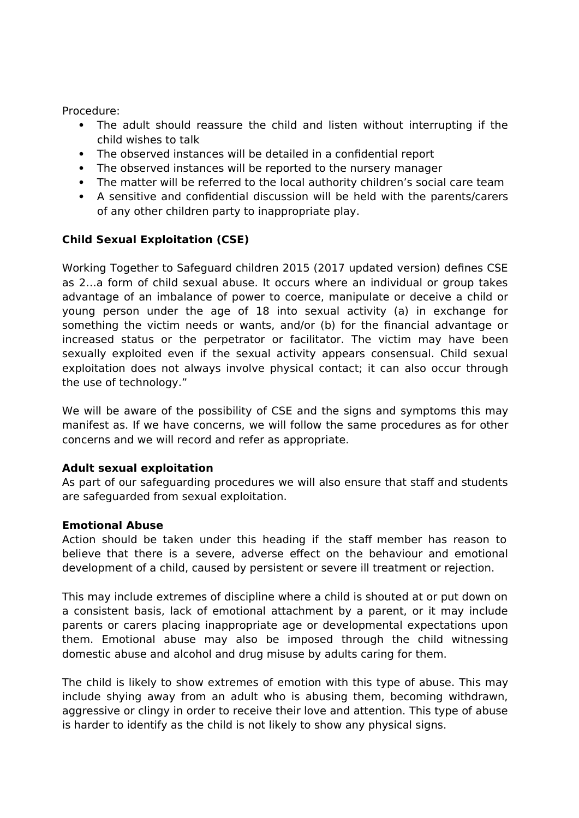Procedure:

- The adult should reassure the child and listen without interrupting if the child wishes to talk
- The observed instances will be detailed in a confidential report
- The observed instances will be reported to the nursery manager
- The matter will be referred to the local authority children's social care team
- A sensitive and confidential discussion will be held with the parents/carers of any other children party to inappropriate play.

## **Child Sexual Exploitation (CSE)**

Working Together to Safeguard children 2015 (2017 updated version) defines CSE as 2…a form of child sexual abuse. It occurs where an individual or group takes advantage of an imbalance of power to coerce, manipulate or deceive a child or young person under the age of 18 into sexual activity (a) in exchange for something the victim needs or wants, and/or (b) for the financial advantage or increased status or the perpetrator or facilitator. The victim may have been sexually exploited even if the sexual activity appears consensual. Child sexual exploitation does not always involve physical contact; it can also occur through the use of technology."

We will be aware of the possibility of CSE and the signs and symptoms this may manifest as. If we have concerns, we will follow the same procedures as for other concerns and we will record and refer as appropriate.

### **Adult sexual exploitation**

As part of our safeguarding procedures we will also ensure that staff and students are safeguarded from sexual exploitation.

### **Emotional Abuse**

Action should be taken under this heading if the staff member has reason to believe that there is a severe, adverse effect on the behaviour and emotional development of a child, caused by persistent or severe ill treatment or rejection.

This may include extremes of discipline where a child is shouted at or put down on a consistent basis, lack of emotional attachment by a parent, or it may include parents or carers placing inappropriate age or developmental expectations upon them. Emotional abuse may also be imposed through the child witnessing domestic abuse and alcohol and drug misuse by adults caring for them.

The child is likely to show extremes of emotion with this type of abuse. This may include shying away from an adult who is abusing them, becoming withdrawn, aggressive or clingy in order to receive their love and attention. This type of abuse is harder to identify as the child is not likely to show any physical signs.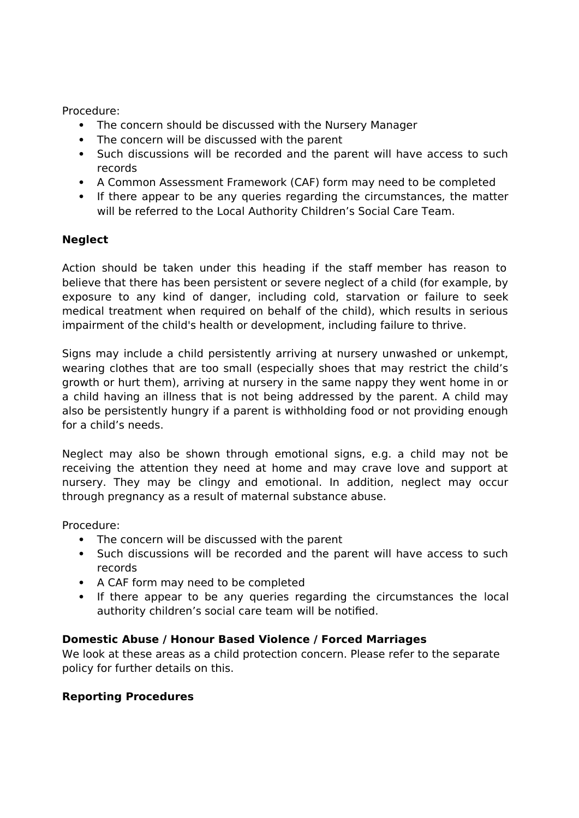Procedure:

- The concern should be discussed with the Nursery Manager
- The concern will be discussed with the parent
- Such discussions will be recorded and the parent will have access to such records
- A Common Assessment Framework (CAF) form may need to be completed
- If there appear to be any queries regarding the circumstances, the matter will be referred to the Local Authority Children's Social Care Team.

# **Neglect**

Action should be taken under this heading if the staff member has reason to believe that there has been persistent or severe neglect of a child (for example, by exposure to any kind of danger, including cold, starvation or failure to seek medical treatment when required on behalf of the child), which results in serious impairment of the child's health or development, including failure to thrive.

Signs may include a child persistently arriving at nursery unwashed or unkempt, wearing clothes that are too small (especially shoes that may restrict the child's growth or hurt them), arriving at nursery in the same nappy they went home in or a child having an illness that is not being addressed by the parent. A child may also be persistently hungry if a parent is withholding food or not providing enough for a child's needs.

Neglect may also be shown through emotional signs, e.g. a child may not be receiving the attention they need at home and may crave love and support at nursery. They may be clingy and emotional. In addition, neglect may occur through pregnancy as a result of maternal substance abuse.

Procedure:

- The concern will be discussed with the parent
- Such discussions will be recorded and the parent will have access to such records
- A CAF form may need to be completed
- If there appear to be any queries regarding the circumstances the local authority children's social care team will be notified.

# **Domestic Abuse / Honour Based Violence / Forced Marriages**

We look at these areas as a child protection concern. Please refer to the separate policy for further details on this.

# **Reporting Procedures**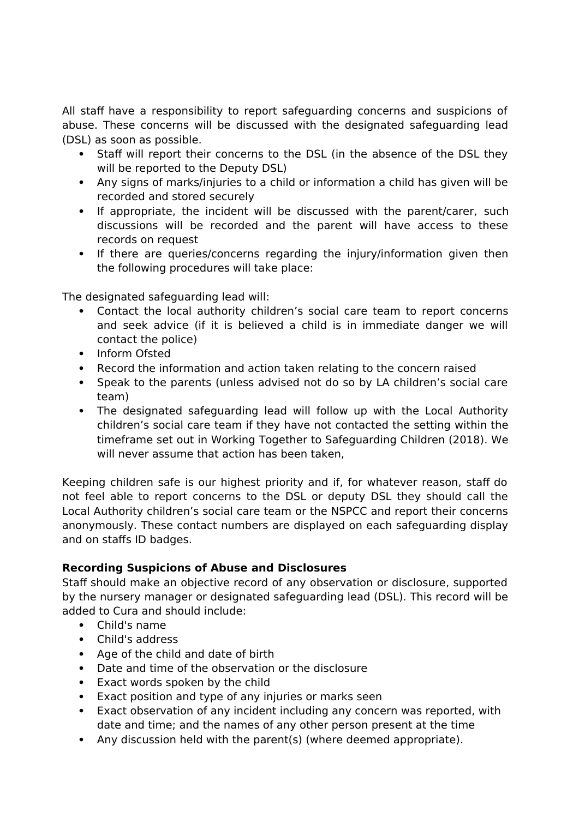All staff have a responsibility to report safeguarding concerns and suspicions of abuse. These concerns will be discussed with the designated safeguarding lead (DSL) as soon as possible.

- Staff will report their concerns to the DSL (in the absence of the DSL they will be reported to the Deputy DSL)
- Any signs of marks/injuries to a child or information a child has given will be recorded and stored securely
- If appropriate, the incident will be discussed with the parent/carer, such discussions will be recorded and the parent will have access to these records on request
- If there are queries/concerns regarding the injury/information given then the following procedures will take place:

The designated safeguarding lead will:

- Contact the local authority children's social care team to report concerns and seek advice (if it is believed a child is in immediate danger we will contact the police)
- Inform Ofsted
- Record the information and action taken relating to the concern raised
- Speak to the parents (unless advised not do so by LA children's social care team)
- The designated safeguarding lead will follow up with the Local Authority children's social care team if they have not contacted the setting within the timeframe set out in Working Together to Safeguarding Children (2018). We will never assume that action has been taken.

Keeping children safe is our highest priority and if, for whatever reason, staff do not feel able to report concerns to the DSL or deputy DSL they should call the Local Authority children's social care team or the NSPCC and report their concerns anonymously. These contact numbers are displayed on each safeguarding display and on staffs ID badges.

# **Recording Suspicions of Abuse and Disclosures**

Staff should make an objective record of any observation or disclosure, supported by the nursery manager or designated safeguarding lead (DSL). This record will be added to Cura and should include:

- Child's name
- Child's address
- Age of the child and date of birth
- Date and time of the observation or the disclosure
- Exact words spoken by the child
- Exact position and type of any injuries or marks seen
- Exact observation of any incident including any concern was reported, with date and time; and the names of any other person present at the time
- Any discussion held with the parent(s) (where deemed appropriate).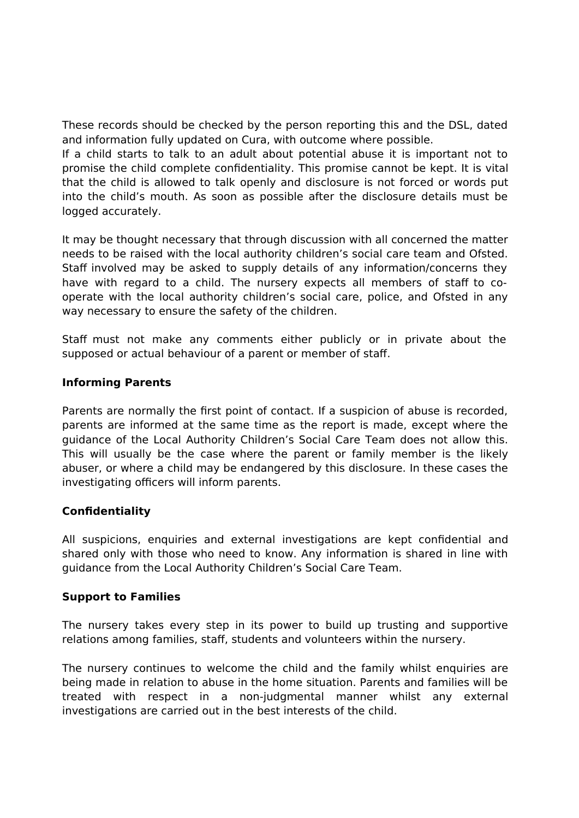These records should be checked by the person reporting this and the DSL, dated and information fully updated on Cura, with outcome where possible.

If a child starts to talk to an adult about potential abuse it is important not to promise the child complete confidentiality. This promise cannot be kept. It is vital that the child is allowed to talk openly and disclosure is not forced or words put into the child's mouth. As soon as possible after the disclosure details must be logged accurately.

It may be thought necessary that through discussion with all concerned the matter needs to be raised with the local authority children's social care team and Ofsted. Staff involved may be asked to supply details of any information/concerns they have with regard to a child. The nursery expects all members of staff to cooperate with the local authority children's social care, police, and Ofsted in any way necessary to ensure the safety of the children.

Staff must not make any comments either publicly or in private about the supposed or actual behaviour of a parent or member of staff.

#### **Informing Parents**

Parents are normally the first point of contact. If a suspicion of abuse is recorded, parents are informed at the same time as the report is made, except where the guidance of the Local Authority Children's Social Care Team does not allow this. This will usually be the case where the parent or family member is the likely abuser, or where a child may be endangered by this disclosure. In these cases the investigating officers will inform parents.

### **Confidentiality**

All suspicions, enquiries and external investigations are kept confidential and shared only with those who need to know. Any information is shared in line with guidance from the Local Authority Children's Social Care Team.

#### **Support to Families**

The nursery takes every step in its power to build up trusting and supportive relations among families, staff, students and volunteers within the nursery.

The nursery continues to welcome the child and the family whilst enquiries are being made in relation to abuse in the home situation. Parents and families will be treated with respect in a non-judgmental manner whilst any external investigations are carried out in the best interests of the child.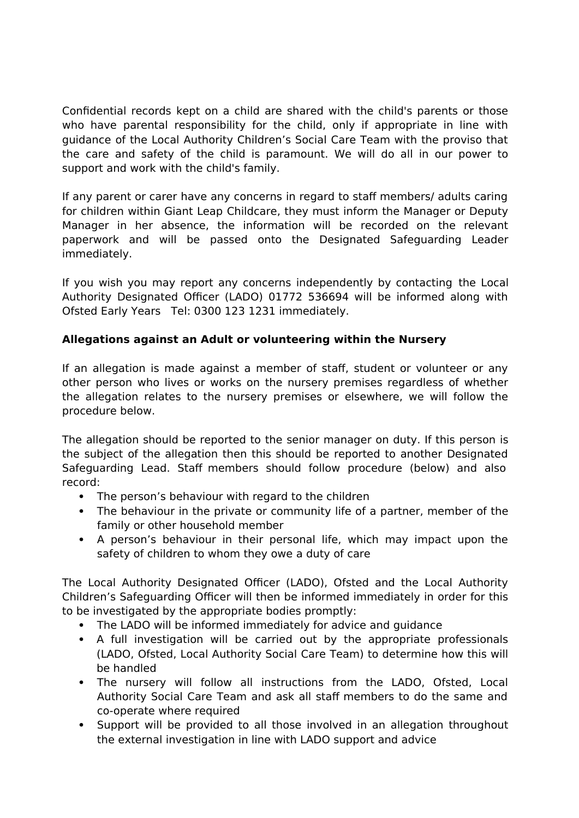Confidential records kept on a child are shared with the child's parents or those who have parental responsibility for the child, only if appropriate in line with guidance of the Local Authority Children's Social Care Team with the proviso that the care and safety of the child is paramount. We will do all in our power to support and work with the child's family.

If any parent or carer have any concerns in regard to staff members/ adults caring for children within Giant Leap Childcare, they must inform the Manager or Deputy Manager in her absence, the information will be recorded on the relevant paperwork and will be passed onto the Designated Safeguarding Leader immediately.

If you wish you may report any concerns independently by contacting the Local Authority Designated Officer (LADO) 01772 536694 will be informed along with Ofsted Early Years Tel: 0300 123 1231 immediately.

# **Allegations against an Adult or volunteering within the Nursery**

If an allegation is made against a member of staff, student or volunteer or any other person who lives or works on the nursery premises regardless of whether the allegation relates to the nursery premises or elsewhere, we will follow the procedure below.

The allegation should be reported to the senior manager on duty. If this person is the subject of the allegation then this should be reported to another Designated Safeguarding Lead. Staff members should follow procedure (below) and also record:

- The person's behaviour with regard to the children
- The behaviour in the private or community life of a partner, member of the family or other household member
- A person's behaviour in their personal life, which may impact upon the safety of children to whom they owe a duty of care

The Local Authority Designated Officer (LADO), Ofsted and the Local Authority Children's Safeguarding Officer will then be informed immediately in order for this to be investigated by the appropriate bodies promptly:

- The LADO will be informed immediately for advice and guidance
- A full investigation will be carried out by the appropriate professionals (LADO, Ofsted, Local Authority Social Care Team) to determine how this will be handled
- The nursery will follow all instructions from the LADO, Ofsted, Local Authority Social Care Team and ask all staff members to do the same and co-operate where required
- Support will be provided to all those involved in an allegation throughout the external investigation in line with LADO support and advice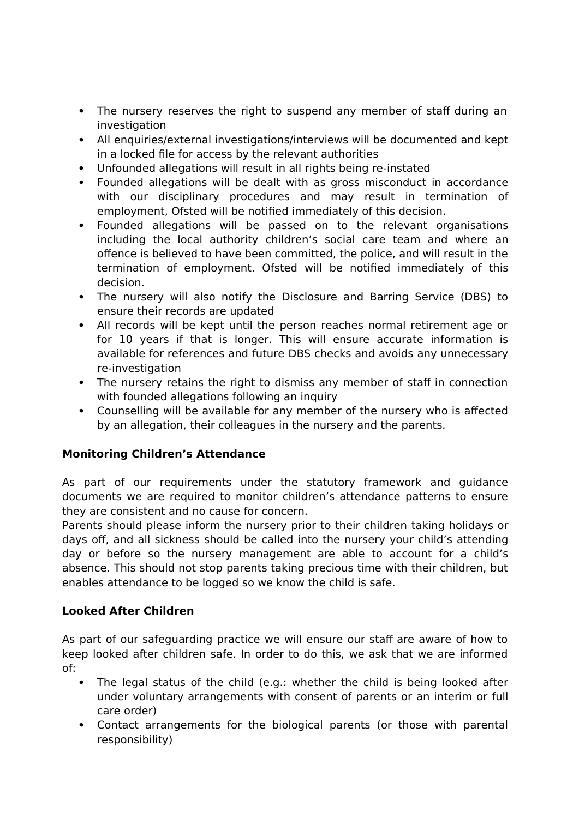- The nursery reserves the right to suspend any member of staff during an investigation
- All enquiries/external investigations/interviews will be documented and kept in a locked file for access by the relevant authorities
- Unfounded allegations will result in all rights being re-instated
- Founded allegations will be dealt with as gross misconduct in accordance with our disciplinary procedures and may result in termination of employment, Ofsted will be notified immediately of this decision.
- Founded allegations will be passed on to the relevant organisations including the local authority children's social care team and where an offence is believed to have been committed, the police, and will result in the termination of employment. Ofsted will be notified immediately of this decision.
- The nursery will also notify the Disclosure and Barring Service (DBS) to ensure their records are updated
- All records will be kept until the person reaches normal retirement age or for 10 years if that is longer. This will ensure accurate information is available for references and future DBS checks and avoids any unnecessary re-investigation
- The nursery retains the right to dismiss any member of staff in connection with founded allegations following an inquiry
- Counselling will be available for any member of the nursery who is affected by an allegation, their colleagues in the nursery and the parents.

# **Monitoring Children's Attendance**

As part of our requirements under the statutory framework and guidance documents we are required to monitor children's attendance patterns to ensure they are consistent and no cause for concern.

Parents should please inform the nursery prior to their children taking holidays or days off, and all sickness should be called into the nursery your child's attending day or before so the nursery management are able to account for a child's absence. This should not stop parents taking precious time with their children, but enables attendance to be logged so we know the child is safe.

# **Looked After Children**

As part of our safeguarding practice we will ensure our staff are aware of how to keep looked after children safe. In order to do this, we ask that we are informed of:

- The legal status of the child (e.g.: whether the child is being looked after under voluntary arrangements with consent of parents or an interim or full care order)
- Contact arrangements for the biological parents (or those with parental responsibility)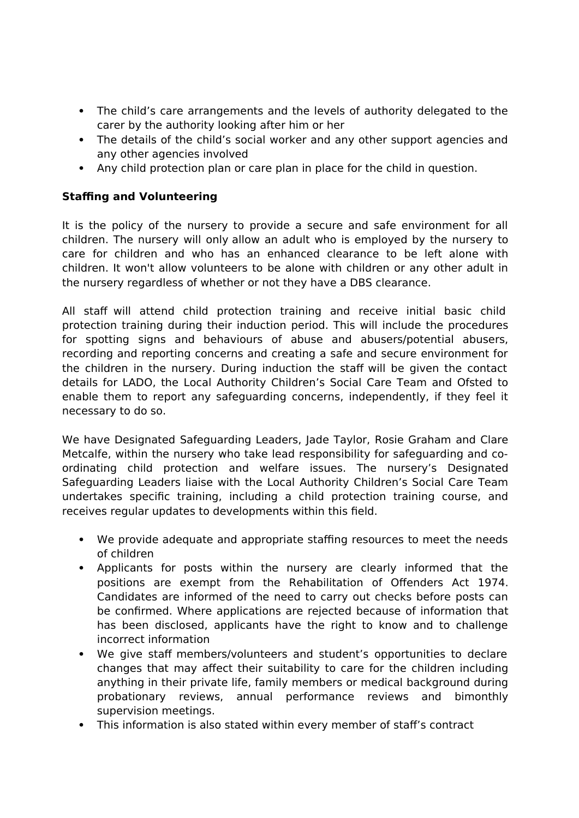- The child's care arrangements and the levels of authority delegated to the carer by the authority looking after him or her
- The details of the child's social worker and any other support agencies and any other agencies involved
- Any child protection plan or care plan in place for the child in question.

# **Staffing and Volunteering**

It is the policy of the nursery to provide a secure and safe environment for all children. The nursery will only allow an adult who is employed by the nursery to care for children and who has an enhanced clearance to be left alone with children. It won't allow volunteers to be alone with children or any other adult in the nursery regardless of whether or not they have a DBS clearance.

All staff will attend child protection training and receive initial basic child protection training during their induction period. This will include the procedures for spotting signs and behaviours of abuse and abusers/potential abusers, recording and reporting concerns and creating a safe and secure environment for the children in the nursery. During induction the staff will be given the contact details for LADO, the Local Authority Children's Social Care Team and Ofsted to enable them to report any safeguarding concerns, independently, if they feel it necessary to do so.

We have Designated Safeguarding Leaders, Jade Taylor, Rosie Graham and Clare Metcalfe, within the nursery who take lead responsibility for safeguarding and coordinating child protection and welfare issues. The nursery's Designated Safeguarding Leaders liaise with the Local Authority Children's Social Care Team undertakes specific training, including a child protection training course, and receives regular updates to developments within this field.

- We provide adequate and appropriate staffing resources to meet the needs of children
- Applicants for posts within the nursery are clearly informed that the positions are exempt from the Rehabilitation of Offenders Act 1974. Candidates are informed of the need to carry out checks before posts can be confirmed. Where applications are rejected because of information that has been disclosed, applicants have the right to know and to challenge incorrect information
- We give staff members/volunteers and student's opportunities to declare changes that may affect their suitability to care for the children including anything in their private life, family members or medical background during probationary reviews, annual performance reviews and bimonthly supervision meetings.
- This information is also stated within every member of staff's contract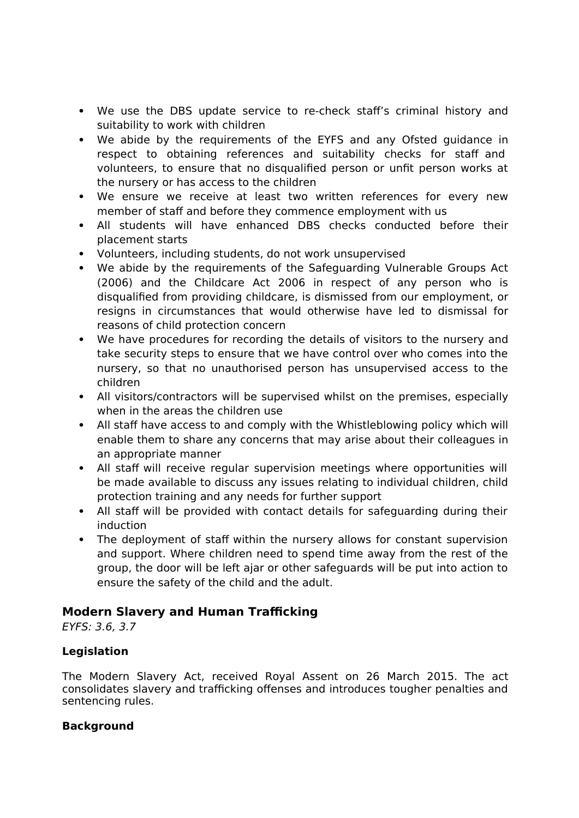- We use the DBS update service to re-check staff's criminal history and suitability to work with children
- We abide by the requirements of the EYFS and any Ofsted guidance in respect to obtaining references and suitability checks for staff and volunteers, to ensure that no disqualified person or unfit person works at the nursery or has access to the children
- We ensure we receive at least two written references for every new member of staff and before they commence employment with us
- All students will have enhanced DBS checks conducted before their placement starts
- Volunteers, including students, do not work unsupervised
- We abide by the requirements of the Safeguarding Vulnerable Groups Act (2006) and the Childcare Act 2006 in respect of any person who is disqualified from providing childcare, is dismissed from our employment, or resigns in circumstances that would otherwise have led to dismissal for reasons of child protection concern
- We have procedures for recording the details of visitors to the nursery and take security steps to ensure that we have control over who comes into the nursery, so that no unauthorised person has unsupervised access to the children
- All visitors/contractors will be supervised whilst on the premises, especially when in the areas the children use
- All staff have access to and comply with the Whistleblowing policy which will enable them to share any concerns that may arise about their colleagues in an appropriate manner
- All staff will receive regular supervision meetings where opportunities will be made available to discuss any issues relating to individual children, child protection training and any needs for further support
- All staff will be provided with contact details for safeguarding during their induction
- The deployment of staff within the nursery allows for constant supervision and support. Where children need to spend time away from the rest of the group, the door will be left ajar or other safeguards will be put into action to ensure the safety of the child and the adult.

# **Modern Slavery and Human Trafficking**

EYFS: 3.6, 3.7

# **Legislation**

The Modern Slavery Act, received Royal Assent on 26 March 2015. The act consolidates slavery and trafficking offenses and introduces tougher penalties and sentencing rules.

# **Background**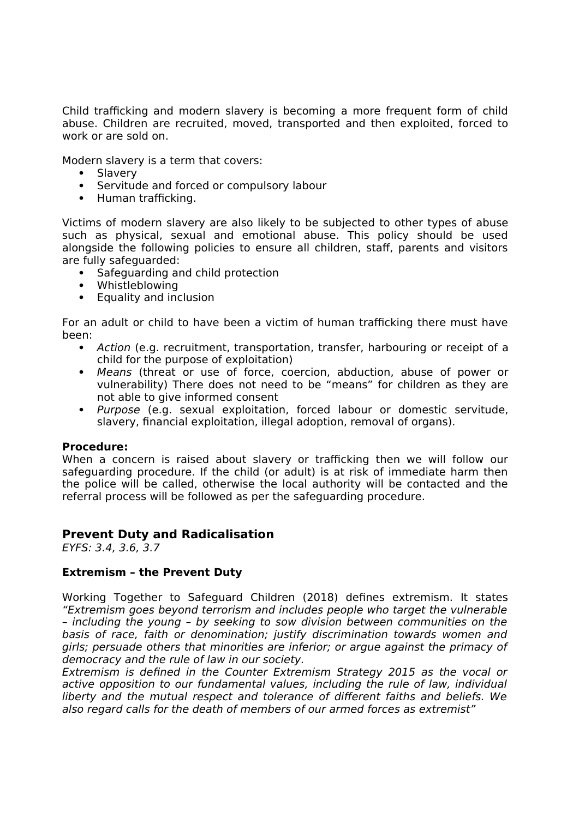Child trafficking and modern slavery is becoming a more frequent form of child abuse. Children are recruited, moved, transported and then exploited, forced to work or are sold on.

Modern slavery is a term that covers:

- Slavery
- Servitude and forced or compulsory labour
- Human trafficking.

Victims of modern slavery are also likely to be subjected to other types of abuse such as physical, sexual and emotional abuse. This policy should be used alongside the following policies to ensure all children, staff, parents and visitors are fully safeguarded:

- Safeguarding and child protection
- Whistleblowing
- Equality and inclusion

For an adult or child to have been a victim of human trafficking there must have been:

- Action (e.g. recruitment, transportation, transfer, harbouring or receipt of a child for the purpose of exploitation)
- Means (threat or use of force, coercion, abduction, abuse of power or vulnerability) There does not need to be "means" for children as they are not able to give informed consent
- Purpose (e.g. sexual exploitation, forced labour or domestic servitude, slavery, financial exploitation, illegal adoption, removal of organs).

#### **Procedure:**

When a concern is raised about slavery or trafficking then we will follow our safeguarding procedure. If the child (or adult) is at risk of immediate harm then the police will be called, otherwise the local authority will be contacted and the referral process will be followed as per the safeguarding procedure.

### **Prevent Duty and Radicalisation**

EYFS: 3.4, 3.6, 3.7

#### **Extremism – the Prevent Duty**

Working Together to Safeguard Children (2018) defines extremism. It states "Extremism goes beyond terrorism and includes people who target the vulnerable – including the young – by seeking to sow division between communities on the basis of race, faith or denomination; justify discrimination towards women and girls; persuade others that minorities are inferior; or argue against the primacy of democracy and the rule of law in our society.

Extremism is defined in the Counter Extremism Strategy 2015 as the vocal or active opposition to our fundamental values, including the rule of law, individual liberty and the mutual respect and tolerance of different faiths and beliefs. We also regard calls for the death of members of our armed forces as extremist"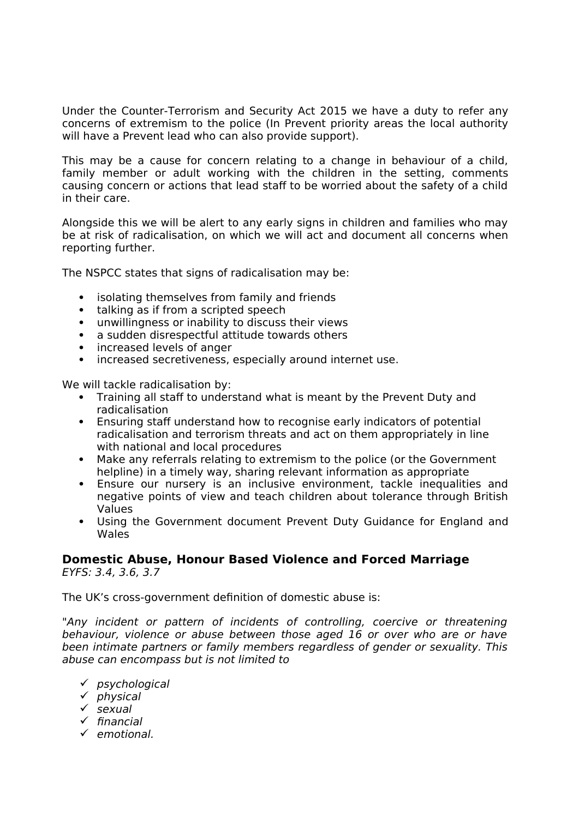Under the Counter-Terrorism and Security Act 2015 we have a duty to refer any concerns of extremism to the police (In Prevent priority areas the local authority will have a Prevent lead who can also provide support).

This may be a cause for concern relating to a change in behaviour of a child, family member or adult working with the children in the setting, comments causing concern or actions that lead staff to be worried about the safety of a child in their care.

Alongside this we will be alert to any early signs in children and families who may be at risk of radicalisation, on which we will act and document all concerns when reporting further.

The NSPCC states that signs of radicalisation may be:

- isolating themselves from family and friends
- talking as if from a scripted speech
- unwillingness or inability to discuss their views
- a sudden disrespectful attitude towards others
- increased levels of anger
- increased secretiveness, especially around internet use.

We will tackle radicalisation by:

- Training all staff to understand what is meant by the Prevent Duty and radicalisation
- Ensuring staff understand how to recognise early indicators of potential radicalisation and terrorism threats and act on them appropriately in line with national and local procedures
- Make any referrals relating to extremism to the police (or the Government helpline) in a timely way, sharing relevant information as appropriate
- Ensure our nursery is an inclusive environment, tackle inequalities and negative points of view and teach children about tolerance through British Values
- Using the Government document Prevent Duty Guidance for England and Wales

# **Domestic Abuse, Honour Based Violence and Forced Marriage**

EYFS: 3.4, 3.6, 3.7

The UK's cross-government definition of domestic abuse is:

"Any incident or pattern of incidents of controlling, coercive or threatening behaviour, violence or abuse between those aged 16 or over who are or have been intimate partners or family members regardless of gender or sexuality. This abuse can encompass but is not limited to

- $\checkmark$  psychological
- $\checkmark$  physical
- sexual
- $\checkmark$  financial
- $\checkmark$  emotional.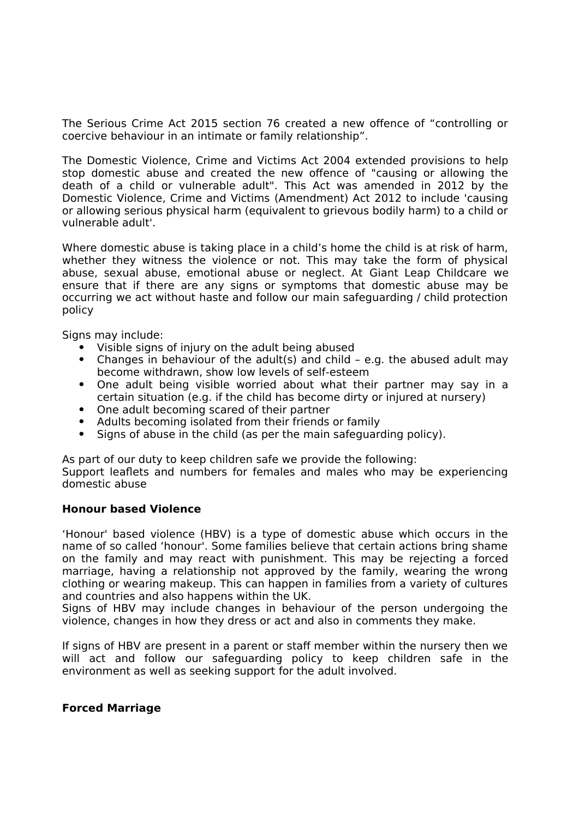The Serious Crime Act 2015 section 76 created a new offence of "controlling or coercive behaviour in an intimate or family relationship".

The Domestic Violence, Crime and Victims Act 2004 extended provisions to help stop domestic abuse and created the new offence of "causing or allowing the death of a child or vulnerable adult". This Act was amended in 2012 by the Domestic Violence, Crime and Victims (Amendment) Act 2012 to include 'causing or allowing serious physical harm (equivalent to grievous bodily harm) to a child or vulnerable adult'.

Where domestic abuse is taking place in a child's home the child is at risk of harm, whether they witness the violence or not. This may take the form of physical abuse, sexual abuse, emotional abuse or neglect. At Giant Leap Childcare we ensure that if there are any signs or symptoms that domestic abuse may be occurring we act without haste and follow our main safeguarding / child protection policy

Signs may include:

- Visible signs of injury on the adult being abused
- Changes in behaviour of the adult(s) and child e.g. the abused adult may become withdrawn, show low levels of self-esteem
- One adult being visible worried about what their partner may say in a certain situation (e.g. if the child has become dirty or injured at nursery)
- One adult becoming scared of their partner
- Adults becoming isolated from their friends or family
- Signs of abuse in the child (as per the main safeguarding policy).

As part of our duty to keep children safe we provide the following:

Support leaflets and numbers for females and males who may be experiencing domestic abuse

#### **Honour based Violence**

'Honour' based violence (HBV) is a type of domestic abuse which occurs in the name of so called 'honour'. Some families believe that certain actions bring shame on the family and may react with punishment. This may be rejecting a forced marriage, having a relationship not approved by the family, wearing the wrong clothing or wearing makeup. This can happen in families from a variety of cultures and countries and also happens within the UK.

Signs of HBV may include changes in behaviour of the person undergoing the violence, changes in how they dress or act and also in comments they make.

If signs of HBV are present in a parent or staff member within the nursery then we will act and follow our safeguarding policy to keep children safe in the environment as well as seeking support for the adult involved.

### **Forced Marriage**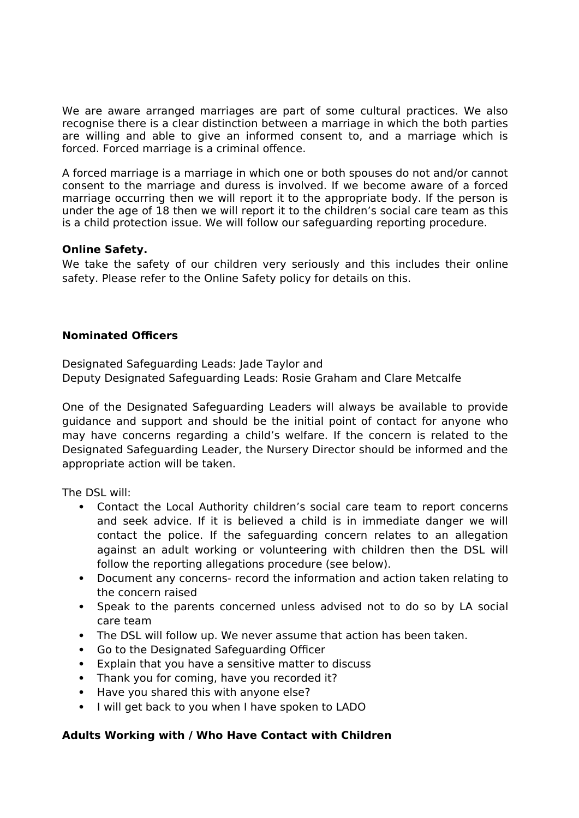We are aware arranged marriages are part of some cultural practices. We also recognise there is a clear distinction between a marriage in which the both parties are willing and able to give an informed consent to, and a marriage which is forced. Forced marriage is a criminal offence.

A forced marriage is a marriage in which one or both spouses do not and/or cannot consent to the marriage and duress is involved. If we become aware of a forced marriage occurring then we will report it to the appropriate body. If the person is under the age of 18 then we will report it to the children's social care team as this is a child protection issue. We will follow our safeguarding reporting procedure.

### **Online Safety.**

We take the safety of our children very seriously and this includes their online safety. Please refer to the Online Safety policy for details on this.

### **Nominated Officers**

Designated Safeguarding Leads: Jade Taylor and Deputy Designated Safeguarding Leads: Rosie Graham and Clare Metcalfe

One of the Designated Safeguarding Leaders will always be available to provide guidance and support and should be the initial point of contact for anyone who may have concerns regarding a child's welfare. If the concern is related to the Designated Safeguarding Leader, the Nursery Director should be informed and the appropriate action will be taken.

The DSL will:

- Contact the Local Authority children's social care team to report concerns and seek advice. If it is believed a child is in immediate danger we will contact the police. If the safeguarding concern relates to an allegation against an adult working or volunteering with children then the DSL will follow the reporting allegations procedure (see below).
- Document any concerns- record the information and action taken relating to the concern raised
- Speak to the parents concerned unless advised not to do so by LA social care team
- The DSL will follow up. We never assume that action has been taken.
- Go to the Designated Safeguarding Officer
- Explain that you have a sensitive matter to discuss
- Thank you for coming, have you recorded it?
- Have you shared this with anyone else?
- I will get back to you when I have spoken to LADO

#### **Adults Working with / Who Have Contact with Children**